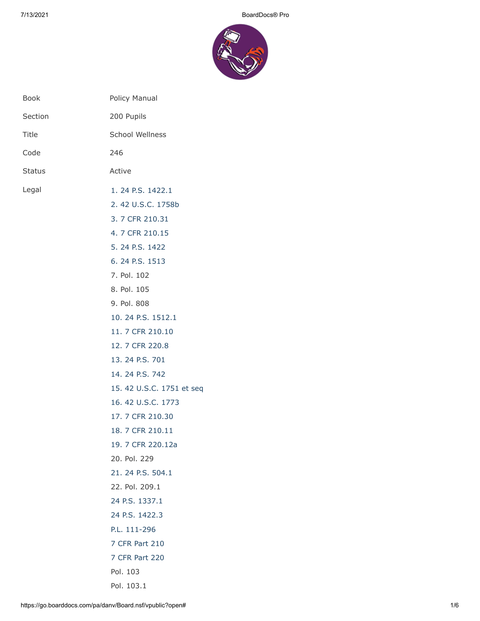

| <b>Book</b> | Policy Manual                                                                                                                                                                                                                                                                                                                                                                                                                                                                                                                                      |
|-------------|----------------------------------------------------------------------------------------------------------------------------------------------------------------------------------------------------------------------------------------------------------------------------------------------------------------------------------------------------------------------------------------------------------------------------------------------------------------------------------------------------------------------------------------------------|
| Section     | 200 Pupils                                                                                                                                                                                                                                                                                                                                                                                                                                                                                                                                         |
| Title       | <b>School Wellness</b>                                                                                                                                                                                                                                                                                                                                                                                                                                                                                                                             |
| Code        | 246                                                                                                                                                                                                                                                                                                                                                                                                                                                                                                                                                |
| Status      | Active                                                                                                                                                                                                                                                                                                                                                                                                                                                                                                                                             |
| Legal       | 1. 24 P.S. 1422.1<br>2.42 U.S.C. 1758b<br>3. 7 CFR 210.31<br>4.7 CFR 210.15<br>5. 24 P.S. 1422<br>6. 24 P.S. 1513<br>7. Pol. 102<br>8. Pol. 105<br>9. Pol. 808<br>10. 24 P.S. 1512.1<br>11. 7 CFR 210.10<br>12. 7 CFR 220.8<br>13. 24 P.S. 701<br>14. 24 P.S. 742<br>15. 42 U.S.C. 1751 et seq<br>16.42 U.S.C. 1773<br>17. 7 CFR 210.30<br>18. 7 CFR 210.11<br>19. 7 CFR 220.12a<br>20. Pol. 229<br>21. 24 P.S. 504.1<br>22. Pol. 209.1<br>24 P.S. 1337.1<br>24 P.S. 1422.3<br>P.L. 111-296<br>7 CFR Part 210<br><b>7 CFR Part 220</b><br>Pol. 103 |
|             | Pol. 103.1                                                                                                                                                                                                                                                                                                                                                                                                                                                                                                                                         |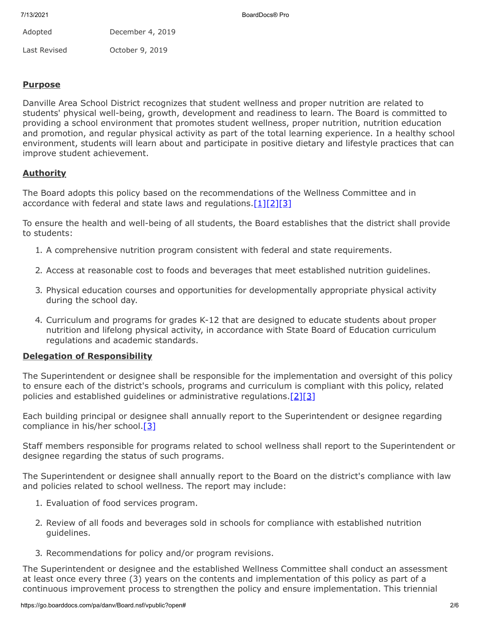| Adopted      | December 4, 2019 |
|--------------|------------------|
| Last Revised | October 9, 2019  |

## **Purpose**

Danville Area School District recognizes that student wellness and proper nutrition are related to students' physical well-being, growth, development and readiness to learn. The Board is committed to providing a school environment that promotes student wellness, proper nutrition, nutrition education and promotion, and regular physical activity as part of the total learning experience. In a healthy school environment, students will learn about and participate in positive dietary and lifestyle practices that can improve student achievement.

## **Authority**

The Board adopts this policy based on the recommendations of the Wellness Committee and in accordance with federal and state laws and regulations. $[1][2][3]$  $[1][2][3]$  $[1][2][3]$ 

To ensure the health and well-being of all students, the Board establishes that the district shall provide to students:

- 1. A comprehensive nutrition program consistent with federal and state requirements.
- 2. Access at reasonable cost to foods and beverages that meet established nutrition guidelines.
- 3. Physical education courses and opportunities for developmentally appropriate physical activity during the school day.
- 4. Curriculum and programs for grades K-12 that are designed to educate students about proper nutrition and lifelong physical activity, in accordance with State Board of Education curriculum regulations and academic standards.

#### **Delegation of Responsibility**

The Superintendent or designee shall be responsible for the implementation and oversight of this policy to ensure each of the district's schools, programs and curriculum is compliant with this policy, related policies and established guidelines or administrative regulations[.\[2\]](http://www.law.cornell.edu/uscode/text/42/1758b)[\[3\]](https://www.law.cornell.edu/cfr/text/7/210.31)

Each building principal or designee shall annually report to the Superintendent or designee regarding compliance in his/her school.<sup>[\[3\]](https://www.law.cornell.edu/cfr/text/7/210.31)</sup>

Staff members responsible for programs related to school wellness shall report to the Superintendent or designee regarding the status of such programs.

The Superintendent or designee shall annually report to the Board on the district's compliance with law and policies related to school wellness. The report may include:

- 1. Evaluation of food services program.
- 2. Review of all foods and beverages sold in schools for compliance with established nutrition guidelines.
- 3. Recommendations for policy and/or program revisions.

The Superintendent or designee and the established Wellness Committee shall conduct an assessment at least once every three (3) years on the contents and implementation of this policy as part of a continuous improvement process to strengthen the policy and ensure implementation. This triennial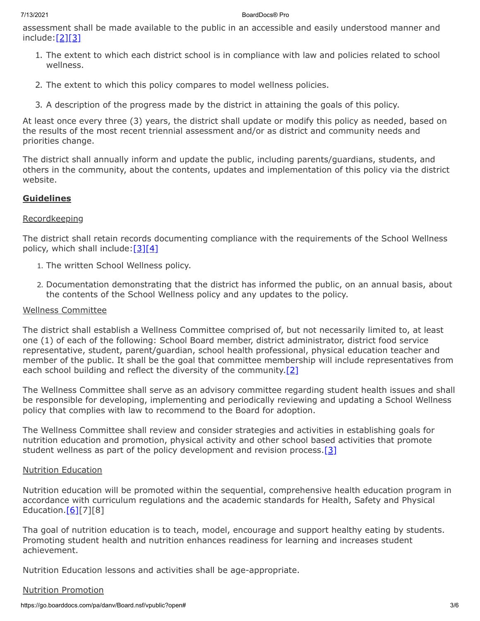#### 7/13/2021 BoardDocs® Pro

assessment shall be made available to the public in an accessible and easily understood manner and  $include:$  $[2][3]$  $[2][3]$ 

- 1. The extent to which each district school is in compliance with law and policies related to school wellness.
- 2. The extent to which this policy compares to model wellness policies.
- 3. A description of the progress made by the district in attaining the goals of this policy.

At least once every three (3) years, the district shall update or modify this policy as needed, based on the results of the most recent triennial assessment and/or as district and community needs and priorities change.

The district shall annually inform and update the public, including parents/guardians, students, and others in the community, about the contents, updates and implementation of this policy via the district website.

# **Guidelines**

## Recordkeeping

The district shall retain records documenting compliance with the requirements of the School Wellness policy, which shall include:  $[3][4]$  $[3][4]$ 

- 1. The written School Wellness policy.
- 2. Documentation demonstrating that the district has informed the public, on an annual basis, about the contents of the School Wellness policy and any updates to the policy.

## Wellness Committee

The district shall establish a Wellness Committee comprised of, but not necessarily limited to, at least one (1) of each of the following: School Board member, district administrator, district food service representative, student, parent/guardian, school health professional, physical education teacher and member of the public. It shall be the goal that committee membership will include representatives from each school building and reflect the diversity of the community. $[2]$ 

The Wellness Committee shall serve as an advisory committee regarding student health issues and shall be responsible for developing, implementing and periodically reviewing and updating a School Wellness policy that complies with law to recommend to the Board for adoption.

The Wellness Committee shall review and consider strategies and activities in establishing goals for nutrition education and promotion, physical activity and other school based activities that promote student wellness as part of the policy development and revision process.[\[3\]](https://www.law.cornell.edu/cfr/text/7/210.31)

## Nutrition Education

Nutrition education will be promoted within the sequential, comprehensive health education program in accordance with curriculum regulations and the academic standards for Health, Safety and Physical Education. $[6][7][8]$ 

Tha goal of nutrition education is to teach, model, encourage and support healthy eating by students. Promoting student health and nutrition enhances readiness for learning and increases student achievement.

Nutrition Education lessons and activities shall be age-appropriate.

## Nutrition Promotion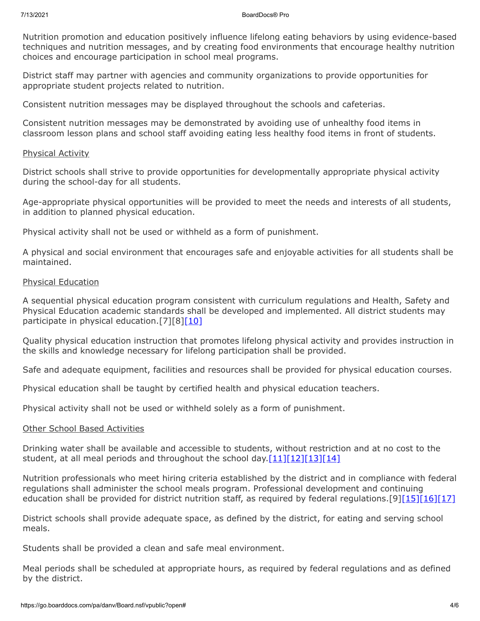Nutrition promotion and education positively influence lifelong eating behaviors by using evidence-based techniques and nutrition messages, and by creating food environments that encourage healthy nutrition choices and encourage participation in school meal programs.

District staff may partner with agencies and community organizations to provide opportunities for appropriate student projects related to nutrition.

Consistent nutrition messages may be displayed throughout the schools and cafeterias.

Consistent nutrition messages may be demonstrated by avoiding use of unhealthy food items in classroom lesson plans and school staff avoiding eating less healthy food items in front of students.

#### Physical Activity

District schools shall strive to provide opportunities for developmentally appropriate physical activity during the school-day for all students.

Age-appropriate physical opportunities will be provided to meet the needs and interests of all students, in addition to planned physical education.

Physical activity shall not be used or withheld as a form of punishment.

A physical and social environment that encourages safe and enjoyable activities for all students shall be maintained.

#### Physical Education

A sequential physical education program consistent with curriculum regulations and Health, Safety and Physical Education academic standards shall be developed and implemented. All district students may participate in physical education.[7][8[\]\[10\]](http://www.legis.state.pa.us/cfdocs/legis/LI/uconsCheck.cfm?txtType=HTM&yr=1949&sessInd=0&smthLwInd=0&act=14&chpt=15&sctn=12&subsctn=1)

Quality physical education instruction that promotes lifelong physical activity and provides instruction in the skills and knowledge necessary for lifelong participation shall be provided.

Safe and adequate equipment, facilities and resources shall be provided for physical education courses.

Physical education shall be taught by certified health and physical education teachers.

Physical activity shall not be used or withheld solely as a form of punishment.

#### Other School Based Activities

Drinking water shall be available and accessible to students, without restriction and at no cost to the student, at all meal periods and throughout the school day.  $[11][12][13][14]$  $[11][12][13][14]$  $[11][12][13][14]$  $[11][12][13][14]$ 

Nutrition professionals who meet hiring criteria established by the district and in compliance with federal regulations shall administer the school meals program. Professional development and continuing education shall be provided for district nutrition staff, as required by federal regulations.[9][\[15\]](http://www.law.cornell.edu/uscode/text/42/chapter-13)[\[16\]](http://www.law.cornell.edu/uscode/text/42/1773)[\[17\]](https://www.law.cornell.edu/cfr/text/7/210.30)

District schools shall provide adequate space, as defined by the district, for eating and serving school meals.

Students shall be provided a clean and safe meal environment.

Meal periods shall be scheduled at appropriate hours, as required by federal regulations and as defined by the district.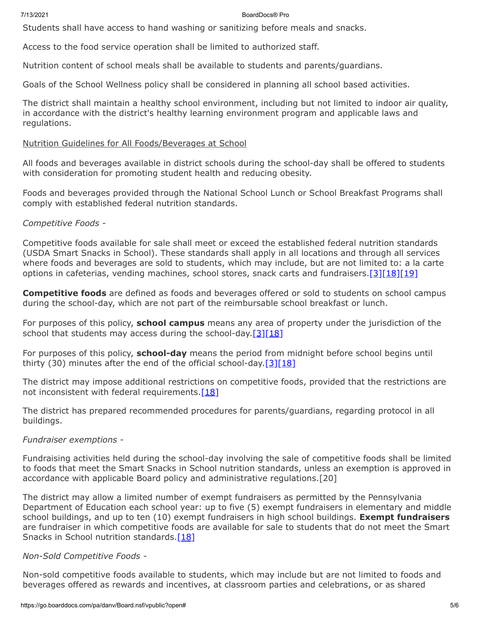#### 7/13/2021 BoardDocs® Pro

Students shall have access to hand washing or sanitizing before meals and snacks.

Access to the food service operation shall be limited to authorized staff.

Nutrition content of school meals shall be available to students and parents/guardians.

Goals of the School Wellness policy shall be considered in planning all school based activities.

The district shall maintain a healthy school environment, including but not limited to indoor air quality, in accordance with the district's healthy learning environment program and applicable laws and regulations.

### Nutrition Guidelines for All Foods/Beverages at School

All foods and beverages available in district schools during the school-day shall be offered to students with consideration for promoting student health and reducing obesity.

Foods and beverages provided through the National School Lunch or School Breakfast Programs shall comply with established federal nutrition standards.

## *Competitive Foods -*

Competitive foods available for sale shall meet or exceed the established federal nutrition standards (USDA Smart Snacks in School). These standards shall apply in all locations and through all services where foods and beverages are sold to students, which may include, but are not limited to: a la carte options in cafeterias, vending machines, school stores, snack carts and fundraisers.[\[3\]](https://www.law.cornell.edu/cfr/text/7/210.31)[\[18\]](http://www.law.cornell.edu/cfr/text/7/210.11)[\[19\]](http://www.law.cornell.edu/cfr/text/7/220.12a)

**Competitive foods** are defined as foods and beverages offered or sold to students on school campus during the school-day, which are not part of the reimbursable school breakfast or lunch.

For purposes of this policy, **school campus** means any area of property under the jurisdiction of the school that students may access during the school-day.  $[3][18]$  $[3][18]$ 

For purposes of this policy, **school-day** means the period from midnight before school begins until thirty (30) minutes after the end of the official school-day.  $[3][18]$  $[3][18]$ 

The district may impose additional restrictions on competitive foods, provided that the restrictions are not inconsistent with federal requirements. $[18]$ 

The district has prepared recommended procedures for parents/guardians, regarding protocol in all buildings.

#### *Fundraiser exemptions -*

Fundraising activities held during the school-day involving the sale of competitive foods shall be limited to foods that meet the Smart Snacks in School nutrition standards, unless an exemption is approved in accordance with applicable Board policy and administrative regulations.[20]

The district may allow a limited number of exempt fundraisers as permitted by the Pennsylvania Department of Education each school year: up to five (5) exempt fundraisers in elementary and middle school buildings, and up to ten (10) exempt fundraisers in high school buildings. **Exempt fundraisers** are fundraiser in which competitive foods are available for sale to students that do not meet the Smart Snacks in School nutrition standards.  $[18]$ 

## *Non-Sold Competitive Foods -*

Non-sold competitive foods available to students, which may include but are not limited to foods and beverages offered as rewards and incentives, at classroom parties and celebrations, or as shared